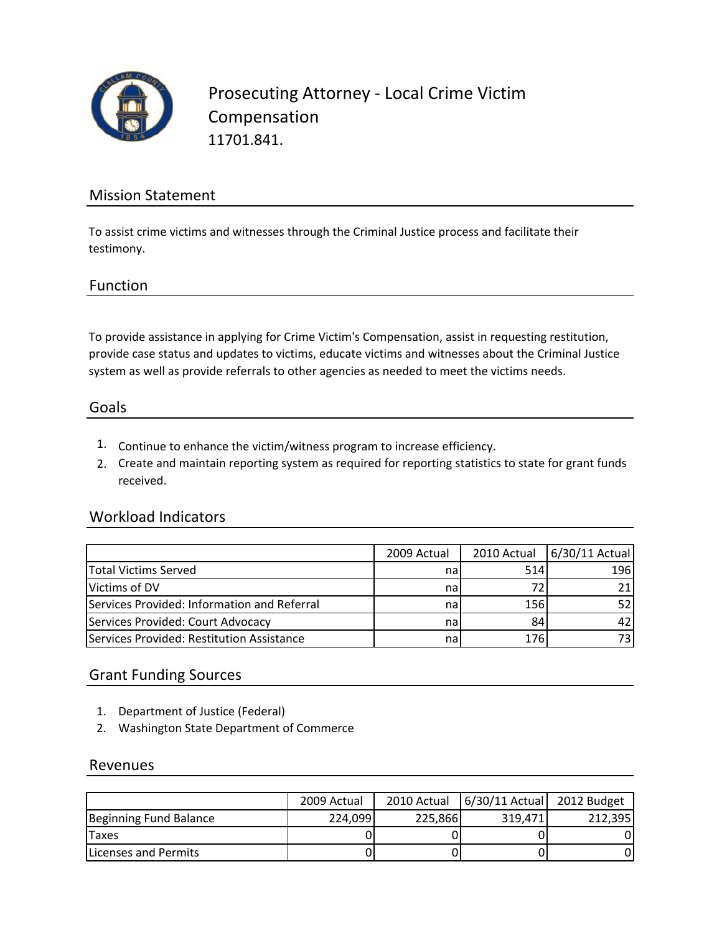

Prosecuting Attorney ‐ Local Crime Victim Compensation 11701.841.

## Mission Statement

To assist crime victims and witnesses through the Criminal Justice process and facilitate their testimony.

#### Function

To provide assistance in applying for Crime Victim's Compensation, assist in requesting restitution, provide case status and updates to victims, educate victims and witnesses about the Criminal Justice system as well as provide referrals to other agencies as needed to meet the victims needs.

#### Goals

- 1. Continue to enhance the victim/witness program to increase efficiency.
- 2. Create and maintain reporting system as required for reporting statistics to state for grant funds received.

#### Workload Indicators

|                                             | 2009 Actual |     | 2010 Actual   6/30/11 Actual |
|---------------------------------------------|-------------|-----|------------------------------|
| Total Victims Served                        | na          | 514 | 196                          |
| Victims of DV                               | nal         |     |                              |
| Services Provided: Information and Referral | na          | 156 |                              |
| Services Provided: Court Advocacy           | nal         | 84  |                              |
| Services Provided: Restitution Assistance   | na          | 176 | 73.                          |

### Grant Funding Sources

- 1. Department of Justice (Federal)
- 2. Washington State Department of Commerce

#### Revenues

|                              | 2009 Actual |         | 2010 Actual   6/30/11 Actual   2012 Budget |         |
|------------------------------|-------------|---------|--------------------------------------------|---------|
| Beginning Fund Balance       | 224,099     | 225,866 | 319.471                                    | 212.395 |
| <b>Taxes</b>                 |             |         |                                            |         |
| <b>ILicenses and Permits</b> |             |         |                                            |         |